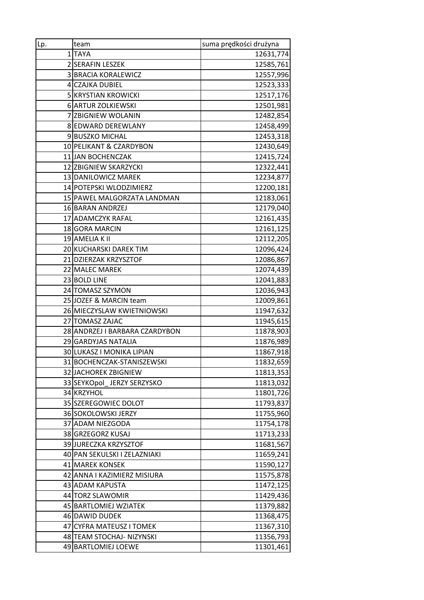| $Lp_2$ | team                           | suma prędkości drużyna |
|--------|--------------------------------|------------------------|
|        | 1TAYA                          | 12631,774              |
|        | 2 SERAFIN LESZEK               | 12585,761              |
|        | <b>3 BRACIA KORALEWICZ</b>     | 12557,996              |
|        | 4 CZAJKA DUBIEL                | 12523,333              |
|        | <b>5 KRYSTIAN KROWICKI</b>     | 12517,176              |
|        | 6 ARTUR ZOLKIEWSKI             | 12501,981              |
|        | 7 ZBIGNIEW WOLANIN             | 12482,854              |
|        | 8 EDWARD DEREWLANY             | 12458,499              |
|        | 9 BUSZKO MICHAL                | 12453,318              |
|        | 10 PELIKANT & CZARDYBON        | 12430,649              |
|        | 11 JAN BOCHENCZAK              | 12415,724              |
|        | 12 ZBIGNIEW SKARZYCKI          | 12322,441              |
|        | 13 DANILOWICZ MAREK            | 12234,877              |
|        | 14 POTEPSKI WLODZIMIERZ        | 12200,181              |
|        | 15 PAWEL MALGORZATA LANDMAN    | 12183,061              |
|        | 16 BARAN ANDRZEJ               | 12179,040              |
|        | 17 ADAMCZYK RAFAL              | 12161,435              |
|        | 18 GORA MARCIN                 | 12161,125              |
|        | 19 AMELIA K II                 | 12112,205              |
|        | 20 KUCHARSKI DAREK TIM         | 12096,424              |
|        | 21 DZIERZAK KRZYSZTOF          | 12086,867              |
|        | 22 MALEC MAREK                 | 12074,439              |
|        | 23 BOLD LINE                   | 12041,883              |
|        | 24 TOMASZ SZYMON               | 12036,943              |
|        | 25 JOZEF & MARCIN team         | 12009,861              |
|        | 26 MIECZYSLAW KWIETNIOWSKI     | 11947,632              |
|        | 27 TOMASZ ZAJAC                | 11945,615              |
|        | 28 ANDRZEJ I BARBARA CZARDYBON | 11878,903              |
|        | 29 GARDYJAS NATALIA            | 11876,989              |
|        | 30 LUKASZ I MONIKA LIPIAN      | 11867,918              |
|        | 31 BOCHENCZAK-STANISZEWSKI     | 11832,659              |
|        | 32 JACHOREK ZBIGNIEW           | 11813,353              |
|        | 33 SEYKOpol JERZY SERZYSKO     | 11813,032              |
|        | 34 KRZYHOL                     | 11801,726              |
|        | 35 SZEREGOWIEC DOLOT           | 11793,837              |
|        | 36 SOKOLOWSKI JERZY            | 11755,960              |
|        | 37 ADAM NIEZGODA               | 11754,178              |
|        | 38 GRZEGORZ KUSAJ              | 11713,233              |
|        | 39 JURECZKA KRZYSZTOF          | 11681,567              |
|        | 40 PAN SEKULSKI I ZELAZNIAKI   | 11659,241              |
|        | 41 MAREK KONSEK                | 11590,127              |
|        | 42 ANNA I KAZIMIERZ MISIURA    | 11575,878              |
|        | 43 ADAM KAPUSTA                | 11472,125              |
|        | 44 TORZ SLAWOMIR               | 11429,436              |
|        | 45 BARTLOMIEJ WZIATEK          | 11379,882              |
|        | 46 DAWID DUDEK                 | 11368,475              |
|        | 47 CYFRA MATEUSZ I TOMEK       | 11367,310              |
|        | 48 TEAM STOCHAJ- NIZYNSKI      | 11356,793              |
|        | 49 BARTLOMIEJ LOEWE            | 11301,461              |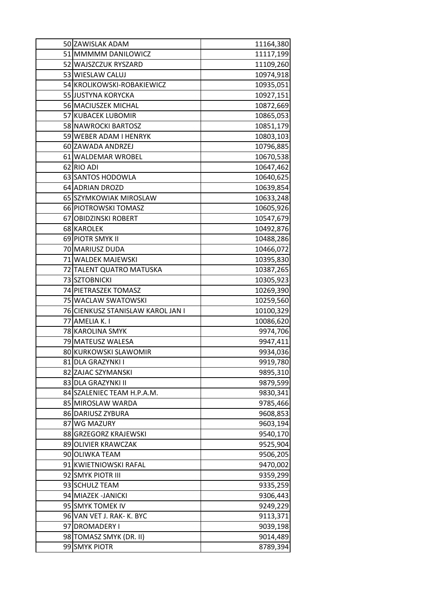| 50 ZAWISLAK ADAM                         | 11164,380 |
|------------------------------------------|-----------|
| 51 MMMMM DANILOWICZ                      | 11117,199 |
| 52 WAJSZCZUK RYSZARD                     | 11109,260 |
| 53 WIESLAW CALUJ                         | 10974,918 |
| 54 KROLIKOWSKI-ROBAKIEWICZ               | 10935,051 |
| 55 JUSTYNA KORYCKA                       | 10927,151 |
| 56 MACIUSZEK MICHAL                      | 10872,669 |
| 57 KUBACEK LUBOMIR                       | 10865,053 |
| 58 NAWROCKI BARTOSZ                      | 10851,179 |
| 59 WEBER ADAM I HENRYK                   | 10803,103 |
| 60 ZAWADA ANDRZEJ                        | 10796,885 |
| 61 WALDEMAR WROBEL                       | 10670,538 |
| 62 RIO ADI                               | 10647,462 |
| 63 SANTOS HODOWLA                        | 10640,625 |
| 64 ADRIAN DROZD                          | 10639,854 |
| 65 SZYMKOWIAK MIROSLAW                   | 10633,248 |
| 66 PIOTROWSKI TOMASZ                     | 10605,926 |
| 67 OBIDZINSKI ROBERT                     | 10547,679 |
| 68 KAROLEK                               | 10492,876 |
| 69 PIOTR SMYK II                         | 10488,286 |
| 70 MARIUSZ DUDA                          | 10466,072 |
| 71 WALDEK MAJEWSKI                       | 10395,830 |
| 72 TALENT QUATRO MATUSKA                 | 10387,265 |
| 73 SZTOBNICKI                            | 10305,923 |
| 74 PIETRASZEK TOMASZ                     | 10269,390 |
| 75 WACLAW SWATOWSKI                      |           |
|                                          | 10259,560 |
| 76 CIENKUSZ STANISLAW KAROL JAN I        | 10100,329 |
| 77 AMELIA K. I                           | 10086,620 |
| 78 KAROLINA SMYK                         | 9974,706  |
| 79 MATEUSZ WALESA                        | 9947,411  |
| 80 KURKOWSKI SLAWOMIR                    | 9934,036  |
| 81 DLA GRAZYNKI I                        | 9919,780  |
| 82 ZAJAC SZYMANSKI                       | 9895,310  |
| 83 DLA GRAZYNKI II                       | 9879,599  |
| 84 SZALENIEC TEAM H.P.A.M.               | 9830,341  |
| 85 MIROSLAW WARDA                        | 9785,466  |
| 86 DARIUSZ ZYBURA                        | 9608,853  |
| 87 WG MAZURY                             | 9603,194  |
| 88 GRZEGORZ KRAJEWSKI                    | 9540,170  |
| 89 OLIVIER KRAWCZAK                      | 9525,904  |
| 90 OLIWKA TEAM                           | 9506,205  |
| 91 KWIETNIOWSKI RAFAL                    | 9470,002  |
| 92 SMYK PIOTR III                        | 9359,299  |
| 93 SCHULZ TEAM                           | 9335,259  |
| 94 MIAZEK - JANICKI                      | 9306,443  |
| 95 SMYK TOMEK IV                         | 9249,229  |
| 96 VAN VET J. RAK- K. BYC                | 9113,371  |
| 97 DROMADERY I                           | 9039,198  |
| 98 TOMASZ SMYK (DR. II)<br>99 SMYK PIOTR | 9014,489  |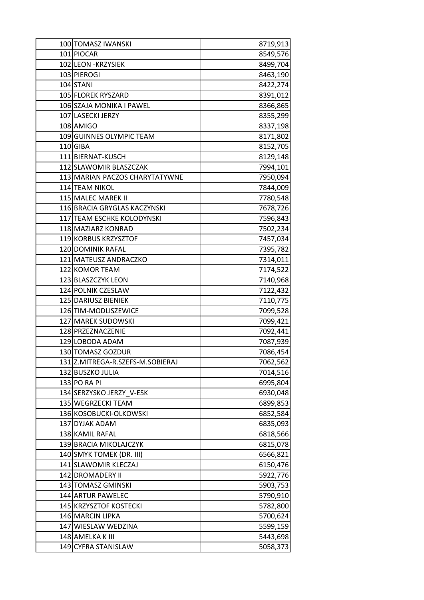| 100 TOMASZ IWANSKI                      | 8719,913             |
|-----------------------------------------|----------------------|
| 101 PIOCAR                              | 8549,576             |
| 102 LEON - KRZYSIEK                     | 8499,704             |
| 103 PIEROGI                             | 8463,190             |
| 104 STANI                               | 8422,274             |
| 105 FLOREK RYSZARD                      | 8391,012             |
| 106 SZAJA MONIKA I PAWEL                | 8366,865             |
| 107 LASECKI JERZY                       | 8355,299             |
| 108 AMIGO                               | 8337,198             |
| 109 GUINNES OLYMPIC TEAM                | 8171,802             |
| 110 GIBA                                | 8152,705             |
| 111 BIERNAT-KUSCH                       | 8129,148             |
| 112 SLAWOMIR BLASZCZAK                  | 7994,101             |
| 113 MARIAN PACZOS CHARYTATYWNE          | 7950,094             |
| 114 TEAM NIKOL                          | 7844,009             |
| 115 MALEC MAREK II                      | 7780,548             |
| 116 BRACIA GRYGLAS KACZYNSKI            | 7678,726             |
| 117 TEAM ESCHKE KOLODYNSKI              | 7596,843             |
| 118 MAZIARZ KONRAD                      | 7502,234             |
| 119 KORBUS KRZYSZTOF                    | 7457,034             |
| 120 DOMINIK RAFAL                       | 7395,782             |
| 121 MATEUSZ ANDRACZKO                   | 7314,011             |
| 122 KOMOR TEAM                          | 7174,522             |
| 123 BLASZCZYK LEON                      | 7140,968             |
| 124 POLNIK CZESLAW                      | 7122,432             |
| 125 DARIUSZ BIENIEK                     | 7110,775             |
| 126 TIM-MODLISZEWICE                    | 7099,528             |
| 127 MAREK SUDOWSKI                      | 7099,421             |
| 128 PRZEZNACZENIE                       | 7092,441             |
| 129 LOBODA ADAM                         | 7087,939             |
| 130 TOMASZ GOZDUR                       | 7086,454             |
| 131 Z.MITREGA-R.SZEFS-M.SOBIERAJ        | 7062,562             |
| 132 BUSZKO JULIA                        | 7014,516             |
| 133 PO RA PI                            | 6995,804             |
| 134 SERZYSKO JERZY V-ESK                | 6930,048             |
| 135 WEGRZECKI TEAM                      | 6899,853             |
| 136 KOSOBUCKI-OLKOWSKI                  | 6852,584             |
| 137 DYJAK ADAM                          | 6835,093             |
| 138 KAMIL RAFAL                         | 6818,566             |
| 139 BRACIA MIKOLAJCZYK                  | 6815,078             |
| 140 SMYK TOMEK (DR. III)                | 6566,821             |
| 141 SLAWOMIR KLECZAJ                    | 6150,476             |
| 142 DROMADERY II                        | 5922,776             |
| 143 TOMASZ GMINSKI<br>144 ARTUR PAWELEC | 5903,753             |
| 145 KRZYSZTOF KOSTECKI                  | 5790,910             |
| 146 MARCIN LIPKA                        | 5782,800<br>5700,624 |
| 147 WIESLAW WEDZINA                     | 5599,159             |
| 148 AMELKA K III                        | 5443,698             |
| 149 CYFRA STANISLAW                     | 5058,373             |
|                                         |                      |